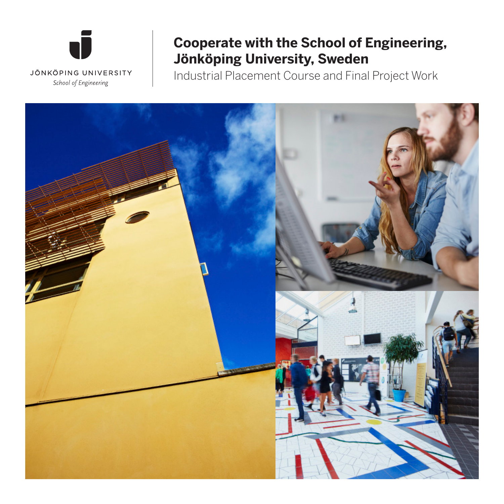

## **Cooperate with the School of Engineering, Jönköping University, Sweden**

Industrial Placement Course and Final Project Work

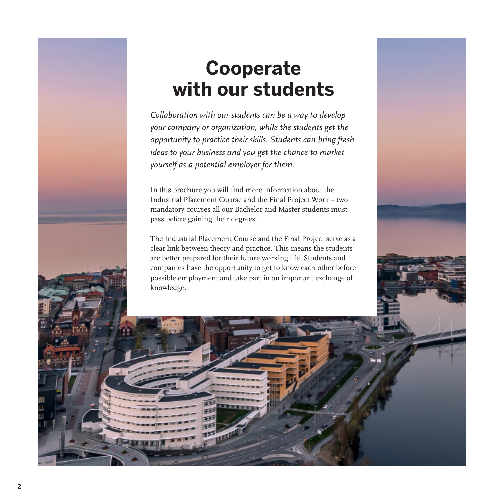## **Cooperate with our students**

*Collaboration with our students can be a way to develop your company or organization, while the students get the opportunity to practice their skills. Students can bring fresh ideas to your business and you get the chance to market yourself as a potential employer for them.*

In this brochure you will find more information about the Industrial Placement Course and the Final Project Work – two mandatory courses all our Bachelor and Master students must pass before gaining their degrees.

The Industrial Placement Course and the Final Project serve as a clear link between theory and practice. This means the students are better prepared for their future working life. Students and companies have the opportunity to get to know each other before possible employment and take part in an important exchange of knowledge.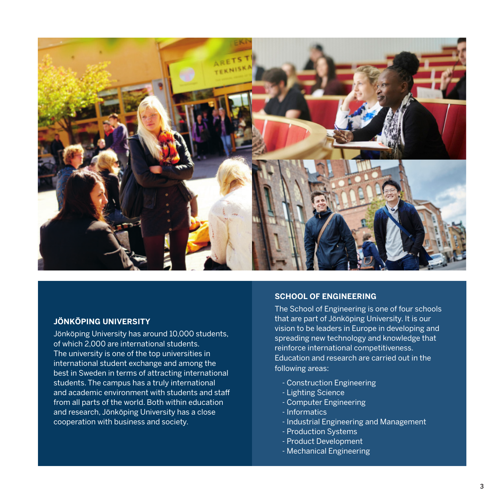

#### **JÖNKÖPING UNIVERSITY**

Jönköping University has around 10,000 students, of which 2,000 are international students. The university is one of the top universities in international student exchange and among the best in Sweden in terms of attracting international students. The campus has a truly international and academic environment with students and staff from all parts of the world. Both within education and research, Jönköping University has a close cooperation with business and society.

#### **SCHOOL OF ENGINEERING**

The School of Engineering is one of four schools that are part of Jönköping University. It is our vision to be leaders in Europe in developing and spreading new technology and knowledge that reinforce international competitiveness. Education and research are carried out in the following areas:

- Construction Engineering
- Lighting Science
- Computer Engineering
- Informatics
- Industrial Engineering and Management
- Production Systems
- Product Development
- Mechanical Engineering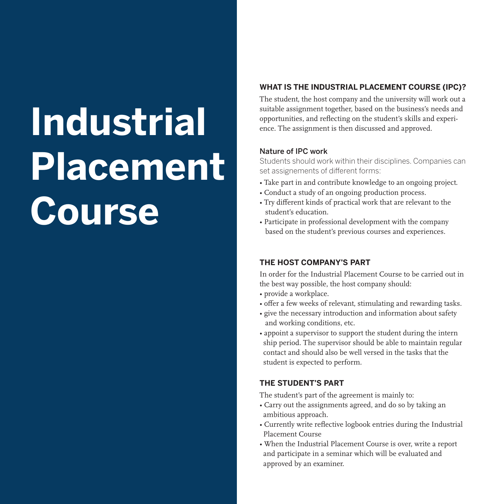## **Industrial Placement Course**

#### **WHAT IS THE INDUSTRIAL PLACEMENT COURSE (IPC)?**

The student, the host company and the university will work out a suitable assignment together, based on the business's needs and opportunities, and reflecting on the student's skills and experience. The assignment is then discussed and approved.

#### Nature of IPC work

Students should work within their disciplines. Companies can set assignements of different forms:

- Take part in and contribute knowledge to an ongoing project.
- Conduct a study of an ongoing production process.
- Try different kinds of practical work that are relevant to the student's education.
- Participate in professional development with the company based on the student's previous courses and experiences.

#### **THE HOST COMPANY'S PART**

In order for the Industrial Placement Course to be carried out in the best way possible, the host company should:

- provide a workplace.
- offer a few weeks of relevant, stimulating and rewarding tasks.
- give the necessary introduction and information about safety and working conditions, etc.
- appoint a supervisor to support the student during the intern ship period. The supervisor should be able to maintain regular contact and should also be well versed in the tasks that the student is expected to perform.

#### **THE STUDENT'S PART**

The student's part of the agreement is mainly to:

- Carry out the assignments agreed, and do so by taking an ambitious approach.
- Currently write reflective logbook entries during the Industrial Placement Course
- When the Industrial Placement Course is over, write a report and participate in a seminar which will be evaluated and approved by an examiner.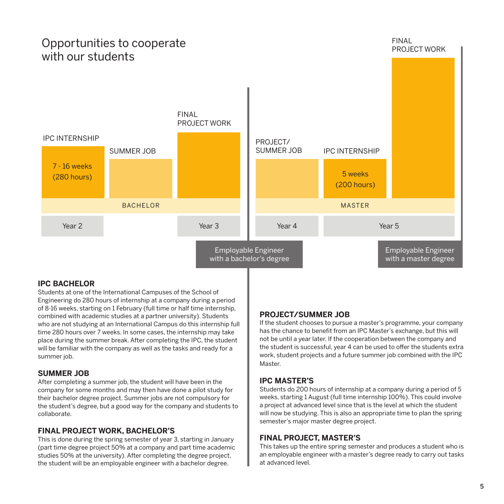### Opportunities to cooperate with our students

### IPC INTERNSHIP SUMMER JOB FINAL PROJECT WORK PROJECT/ SUMMER JOB IPC INTERNSHIP Year 2 7 - 16 weeks (280 hours) 5 weeks (200 hours) Year 3 Year 4 Year 5 Employable Engineer BACHELOR **MASTER** Employable Engineer

with a bachelor's degree

#### **IPC BACHELOR**

Students at one of the International Campuses of the School of Engineering do 280 hours of internship at a company during a period of 8-16 weeks, starting on 1 February (full time or half time internship, combined with academic studies at a partner university). Students who are not studying at an International Campus do this internship full time 280 hours over 7 weeks. In some cases, the internship may take place during the summer break. After completing the IPC, the student will be familiar with the company as well as the tasks and ready for a summer job.

#### **SUMMER JOB**

After completing a summer job, the student will have been in the company for some months and may then have done a pilot study for their bachelor degree project. Summer jobs are not compulsory for the student's degree, but a good way for the company and students to collaborate.

#### **FINAL PROJECT WORK, BACHELOR'S**

This is done during the spring semester of year 3, starting in January (part time degree project 50% at a company and part time academic studies 50% at the university). After completing the degree project, the student will be an employable engineer with a bachelor degree.

#### **PROJECT/SUMMER JOB**

If the student chooses to pursue a master's programme, your company has the chance to benefit from an IPC Master's exchange, but this will not be until a year later. If the cooperation between the company and the student is successful, year 4 can be used to offer the students extra work, student projects and a future summer job combined with the IPC Master.

with a master degree

#### **IPC MASTER'S**

Students do 200 hours of internship at a company during a period of 5 weeks, starting 1 August (full time internship 100%). This could involve a project at advanced level since that is the level at which the student will now be studying. This is also an appropriate time to plan the spring semester's major master degree project.

#### **FINAL PROJECT, MASTER'S**

This takes up the entire spring semester and produces a student who is an employable engineer with a master's degree ready to carry out tasks at advanced level.

## FINAL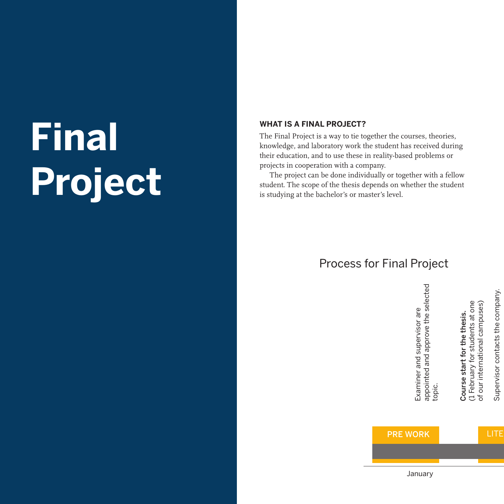# **Final Project**

#### **WHAT IS A FINAL PROJECT?**

The Final Project is a way to tie together the courses, theories, knowledge, and laboratory work the student has received during their education, and to use these in reality-based problems or projects in cooperation with a company.

The project can be done individually or together with a fellow student. The scope of the thesis depends on whether the student is studying at the bachelor's or master's level.

## Process for Final Project

appointed and approve the selected appointed and approve the selected<br>topic.

Examiner and supervisor are

Examiner and supervisor are

Supervisor contacts the company. Supervisor contacts the company. of our international campuses) of our international campuses)

Course start for the thesis. (1 February for students at one

Course start for the thesis.

(1 February for students at one

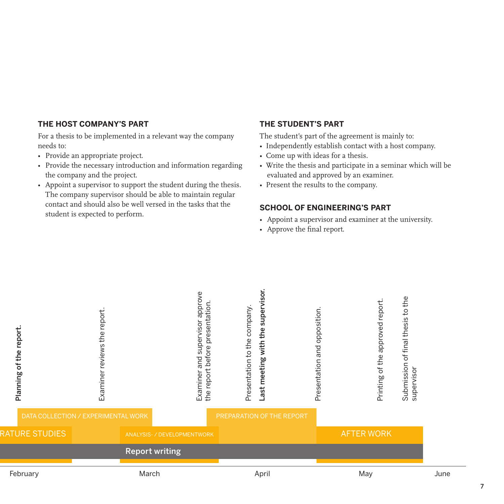#### **THE HOST COMPANY'S PART**

For a thesis to be implemented in a relevant way the company needs to:

- Provide an appropriate project.
- Provide the necessary introduction and information regarding the company and the project.
- Appoint a supervisor to support the student during the thesis. The company supervisor should be able to maintain regular contact and should also be well versed in the tasks that the student is expected to perform.

#### **THE STUDENT'S PART**

The student's part of the agreement is mainly to:

- Independently establish contact with a host company.
- Come up with ideas for a thesis.
- Write the thesis and participate in a seminar which will be evaluated and approved by an examiner.
- Present the results to the company.

#### **SCHOOL OF ENGINEERING'S PART**

- Appoint a supervisor and examiner at the university.
- Approve the final report.